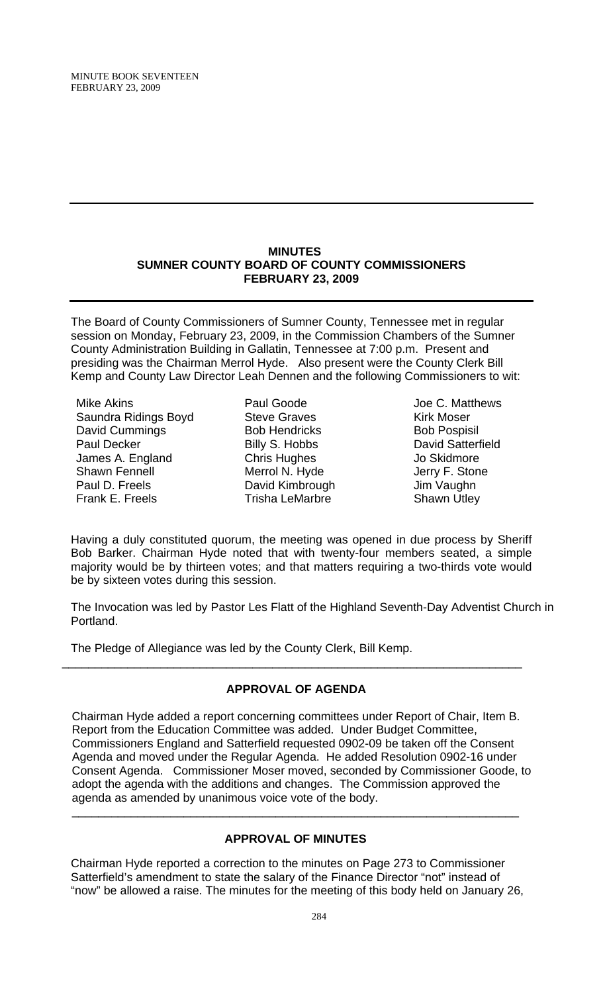#### **MINUTES SUMNER COUNTY BOARD OF COUNTY COMMISSIONERS FEBRUARY 23, 2009**

The Board of County Commissioners of Sumner County, Tennessee met in regular session on Monday, February 23, 2009, in the Commission Chambers of the Sumner County Administration Building in Gallatin, Tennessee at 7:00 p.m. Present and presiding was the Chairman Merrol Hyde. Also present were the County Clerk Bill Kemp and County Law Director Leah Dennen and the following Commissioners to wit:

Mike Akins Saundra Ridings Boyd David Cummings Paul Decker James A. England Shawn Fennell Paul D. Freels Frank E. Freels

- Paul Goode Steve Graves Bob Hendricks Billy S. Hobbs Chris Hughes Merrol N. Hyde David Kimbrough Trisha LeMarbre
- Joe C. Matthews Kirk Moser Bob Pospisil David Satterfield Jo Skidmore Jerry F. Stone Jim Vaughn Shawn Utley

Having a duly constituted quorum, the meeting was opened in due process by Sheriff Bob Barker. Chairman Hyde noted that with twenty-four members seated, a simple majority would be by thirteen votes; and that matters requiring a two-thirds vote would be by sixteen votes during this session.

The Invocation was led by Pastor Les Flatt of the Highland Seventh-Day Adventist Church in Portland.

The Pledge of Allegiance was led by the County Clerk, Bill Kemp.

# **APPROVAL OF AGENDA**

\_\_\_\_\_\_\_\_\_\_\_\_\_\_\_\_\_\_\_\_\_\_\_\_\_\_\_\_\_\_\_\_\_\_\_\_\_\_\_\_\_\_\_\_\_\_\_\_\_\_\_\_\_\_\_\_\_\_\_\_\_\_\_\_\_\_\_\_\_\_

Chairman Hyde added a report concerning committees under Report of Chair, Item B. Report from the Education Committee was added. Under Budget Committee, Commissioners England and Satterfield requested 0902-09 be taken off the Consent Agenda and moved under the Regular Agenda. He added Resolution 0902-16 under Consent Agenda. Commissioner Moser moved, seconded by Commissioner Goode, to adopt the agenda with the additions and changes. The Commission approved the agenda as amended by unanimous voice vote of the body.

# **APPROVAL OF MINUTES**

 $\overline{\phantom{a}}$  , and the contribution of the contribution of the contribution of the contribution of the contribution of the contribution of the contribution of the contribution of the contribution of the contribution of the

Chairman Hyde reported a correction to the minutes on Page 273 to Commissioner Satterfield's amendment to state the salary of the Finance Director "not" instead of "now" be allowed a raise. The minutes for the meeting of this body held on January 26,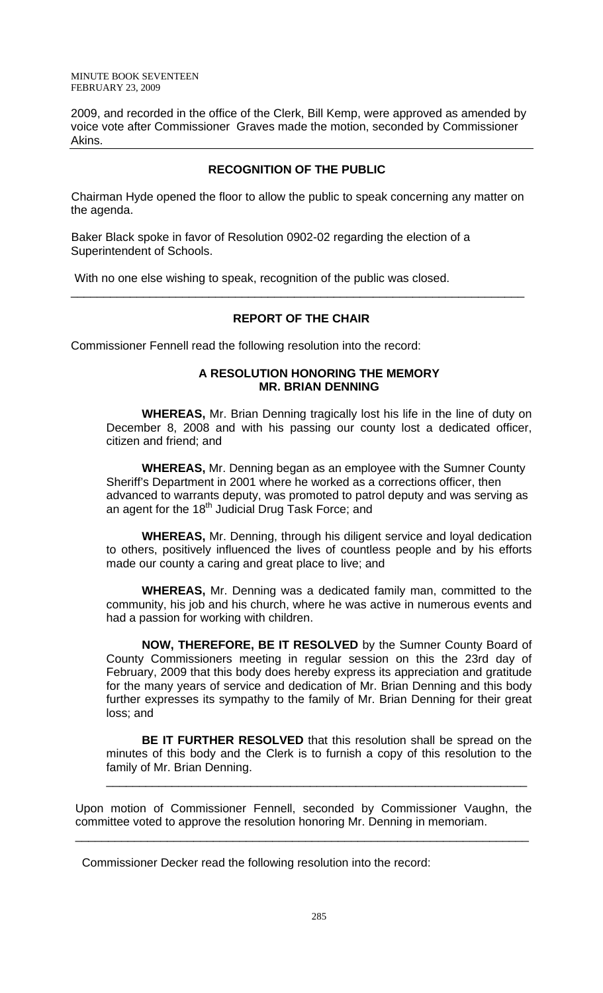MINUTE BOOK SEVENTEEN FEBRUARY 23, 2009

2009, and recorded in the office of the Clerk, Bill Kemp, were approved as amended by voice vote after Commissioner Graves made the motion, seconded by Commissioner Akins.

## **RECOGNITION OF THE PUBLIC**

Chairman Hyde opened the floor to allow the public to speak concerning any matter on the agenda.

Baker Black spoke in favor of Resolution 0902-02 regarding the election of a Superintendent of Schools.

With no one else wishing to speak, recognition of the public was closed.

# **REPORT OF THE CHAIR**

\_\_\_\_\_\_\_\_\_\_\_\_\_\_\_\_\_\_\_\_\_\_\_\_\_\_\_\_\_\_\_\_\_\_\_\_\_\_\_\_\_\_\_\_\_\_\_\_\_\_\_\_\_\_\_\_\_\_\_\_\_\_\_\_\_\_\_\_\_

Commissioner Fennell read the following resolution into the record:

#### **A RESOLUTION HONORING THE MEMORY MR. BRIAN DENNING**

**WHEREAS,** Mr. Brian Denning tragically lost his life in the line of duty on December 8, 2008 and with his passing our county lost a dedicated officer, citizen and friend; and

**WHEREAS,** Mr. Denning began as an employee with the Sumner County Sheriff's Department in 2001 where he worked as a corrections officer, then advanced to warrants deputy, was promoted to patrol deputy and was serving as advanced to manufath Judicial Drug Task Force; and

**WHEREAS,** Mr. Denning, through his diligent service and loyal dedication to others, positively influenced the lives of countless people and by his efforts made our county a caring and great place to live; and

**WHEREAS,** Mr. Denning was a dedicated family man, committed to the community, his job and his church, where he was active in numerous events and had a passion for working with children.

**NOW, THEREFORE, BE IT RESOLVED** by the Sumner County Board of County Commissioners meeting in regular session on this the 23rd day of February, 2009 that this body does hereby express its appreciation and gratitude for the many years of service and dedication of Mr. Brian Denning and this body further expresses its sympathy to the family of Mr. Brian Denning for their great loss; and

**BE IT FURTHER RESOLVED** that this resolution shall be spread on the minutes of this body and the Clerk is to furnish a copy of this resolution to the family of Mr. Brian Denning.

\_\_\_\_\_\_\_\_\_\_\_\_\_\_\_\_\_\_\_\_\_\_\_\_\_\_\_\_\_\_\_\_\_\_\_\_\_\_\_\_\_\_\_\_\_\_\_\_\_\_\_\_\_\_\_\_\_\_\_\_\_\_\_\_

Upon motion of Commissioner Fennell, seconded by Commissioner Vaughn, the committee voted to approve the resolution honoring Mr. Denning in memoriam.

\_\_\_\_\_\_\_\_\_\_\_\_\_\_\_\_\_\_\_\_\_\_\_\_\_\_\_\_\_\_\_\_\_\_\_\_\_\_\_\_\_\_\_\_\_\_\_\_\_\_\_\_\_\_\_\_\_\_\_\_\_\_\_\_\_\_\_\_\_

Commissioner Decker read the following resolution into the record: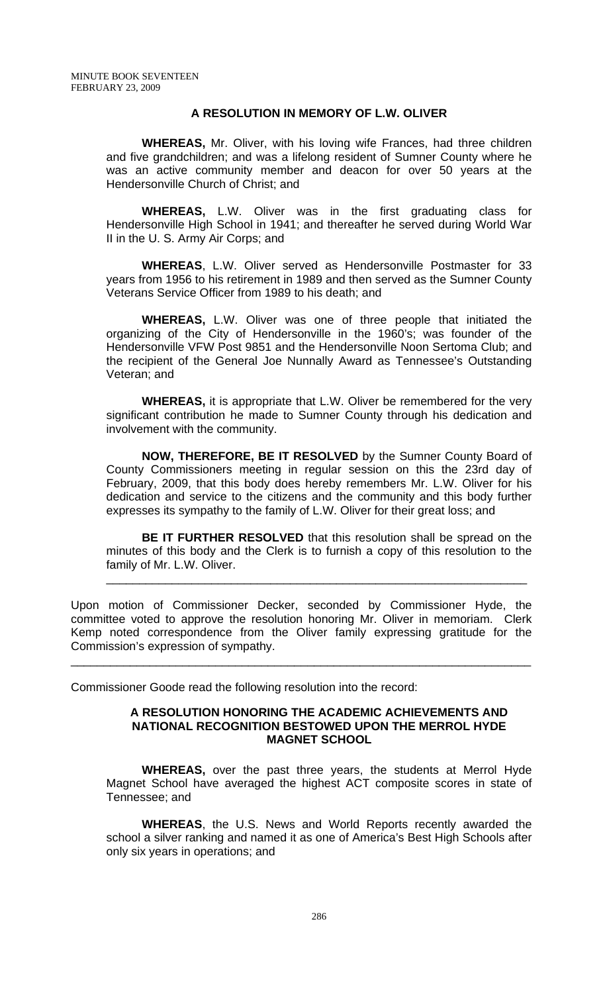# **A RESOLUTION IN MEMORY OF L.W. OLIVER**

**WHEREAS,** Mr. Oliver, with his loving wife Frances, had three children and five grandchildren; and was a lifelong resident of Sumner County where he was an active community member and deacon for over 50 years at the Hendersonville Church of Christ; and

**WHEREAS,** L.W. Oliver was in the first graduating class for Hendersonville High School in 1941; and thereafter he served during World War II in the U. S. Army Air Corps; and

**WHEREAS**, L.W. Oliver served as Hendersonville Postmaster for 33 years from 1956 to his retirement in 1989 and then served as the Sumner County Veterans Service Officer from 1989 to his death; and

**WHEREAS,** L.W. Oliver was one of three people that initiated the organizing of the City of Hendersonville in the 1960's; was founder of the Hendersonville VFW Post 9851 and the Hendersonville Noon Sertoma Club; and the recipient of the General Joe Nunnally Award as Tennessee's Outstanding Veteran; and

**WHEREAS,** it is appropriate that L.W. Oliver be remembered for the very significant contribution he made to Sumner County through his dedication and involvement with the community.

**NOW, THEREFORE, BE IT RESOLVED** by the Sumner County Board of County Commissioners meeting in regular session on this the 23rd day of February, 2009, that this body does hereby remembers Mr. L.W. Oliver for his dedication and service to the citizens and the community and this body further expresses its sympathy to the family of L.W. Oliver for their great loss; and

**BE IT FURTHER RESOLVED** that this resolution shall be spread on the minutes of this body and the Clerk is to furnish a copy of this resolution to the family of Mr. L.W. Oliver.

\_\_\_\_\_\_\_\_\_\_\_\_\_\_\_\_\_\_\_\_\_\_\_\_\_\_\_\_\_\_\_\_\_\_\_\_\_\_\_\_\_\_\_\_\_\_\_\_\_\_\_\_\_\_\_\_\_\_\_\_\_\_\_\_

Upon motion of Commissioner Decker, seconded by Commissioner Hyde, the committee voted to approve the resolution honoring Mr. Oliver in memoriam. Clerk Kemp noted correspondence from the Oliver family expressing gratitude for the Commission's expression of sympathy.

\_\_\_\_\_\_\_\_\_\_\_\_\_\_\_\_\_\_\_\_\_\_\_\_\_\_\_\_\_\_\_\_\_\_\_\_\_\_\_\_\_\_\_\_\_\_\_\_\_\_\_\_\_\_\_\_\_\_\_\_\_\_\_\_\_\_\_\_\_\_

Commissioner Goode read the following resolution into the record:

#### **A RESOLUTION HONORING THE ACADEMIC ACHIEVEMENTS AND NATIONAL RECOGNITION BESTOWED UPON THE MERROL HYDE MAGNET SCHOOL**

 **WHEREAS,** over the past three years, the students at Merrol Hyde Magnet School have averaged the highest ACT composite scores in state of Tennessee; and

**WHEREAS**, the U.S. News and World Reports recently awarded the school a silver ranking and named it as one of America's Best High Schools after only six years in operations; and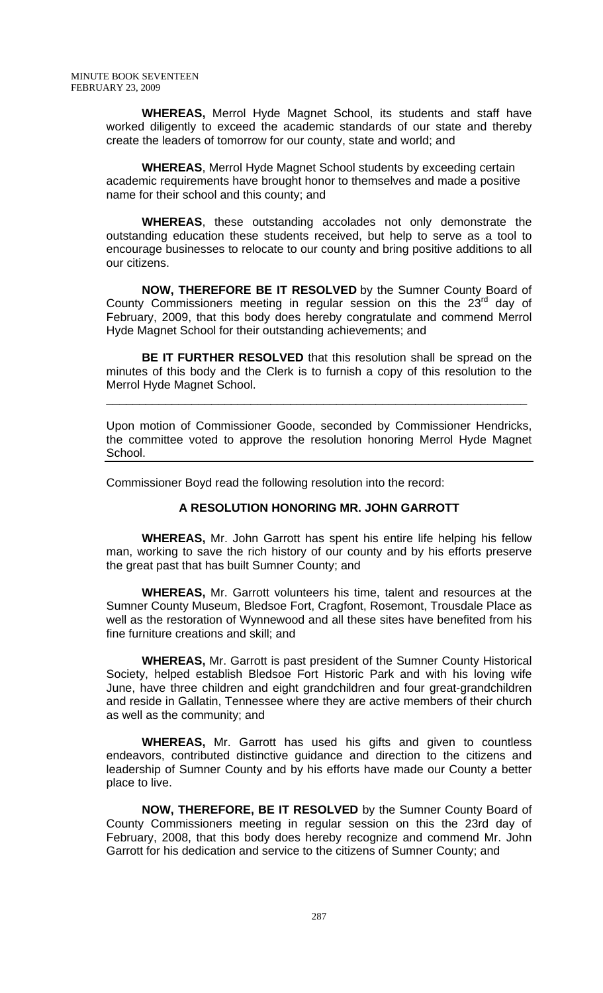**WHEREAS,** Merrol Hyde Magnet School, its students and staff have worked diligently to exceed the academic standards of our state and thereby create the leaders of tomorrow for our county, state and world; and

**WHEREAS**, Merrol Hyde Magnet School students by exceeding certain academic requirements have brought honor to themselves and made a positive name for their school and this county; and

**WHEREAS**, these outstanding accolades not only demonstrate the outstanding education these students received, but help to serve as a tool to encourage businesses to relocate to our county and bring positive additions to all our citizens.

**NOW, THEREFORE BE IT RESOLVED** by the Sumner County Board of County Commissioners meeting in regular session on this the  $23<sup>rd</sup>$  day of February, 2009, that this body does hereby congratulate and commend Merrol Hyde Magnet School for their outstanding achievements; and

**BE IT FURTHER RESOLVED** that this resolution shall be spread on the minutes of this body and the Clerk is to furnish a copy of this resolution to the Merrol Hyde Magnet School.

\_\_\_\_\_\_\_\_\_\_\_\_\_\_\_\_\_\_\_\_\_\_\_\_\_\_\_\_\_\_\_\_\_\_\_\_\_\_\_\_\_\_\_\_\_\_\_\_\_\_\_\_\_\_\_\_\_\_\_\_\_\_\_\_

Upon motion of Commissioner Goode, seconded by Commissioner Hendricks, the committee voted to approve the resolution honoring Merrol Hyde Magnet School.

Commissioner Boyd read the following resolution into the record:

## **A RESOLUTION HONORING MR. JOHN GARROTT**

 **WHEREAS,** Mr. John Garrott has spent his entire life helping his fellow man, working to save the rich history of our county and by his efforts preserve the great past that has built Sumner County; and

**WHEREAS,** Mr. Garrott volunteers his time, talent and resources at the Sumner County Museum, Bledsoe Fort, Cragfont, Rosemont, Trousdale Place as well as the restoration of Wynnewood and all these sites have benefited from his fine furniture creations and skill; and

 **WHEREAS,** Mr. Garrott is past president of the Sumner County Historical Society, helped establish Bledsoe Fort Historic Park and with his loving wife June, have three children and eight grandchildren and four great-grandchildren and reside in Gallatin, Tennessee where they are active members of their church as well as the community; and

**WHEREAS,** Mr. Garrott has used his gifts and given to countless endeavors, contributed distinctive guidance and direction to the citizens and leadership of Sumner County and by his efforts have made our County a better place to live.

**NOW, THEREFORE, BE IT RESOLVED** by the Sumner County Board of County Commissioners meeting in regular session on this the 23rd day of February, 2008, that this body does hereby recognize and commend Mr. John Garrott for his dedication and service to the citizens of Sumner County; and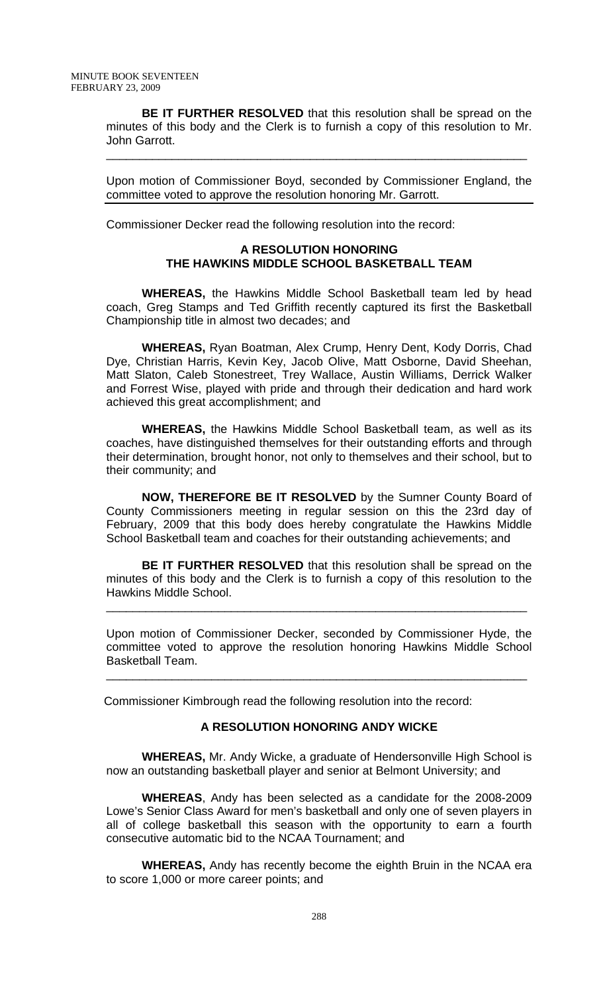**BE IT FURTHER RESOLVED** that this resolution shall be spread on the minutes of this body and the Clerk is to furnish a copy of this resolution to Mr. John Garrott.

\_\_\_\_\_\_\_\_\_\_\_\_\_\_\_\_\_\_\_\_\_\_\_\_\_\_\_\_\_\_\_\_\_\_\_\_\_\_\_\_\_\_\_\_\_\_\_\_\_\_\_\_\_\_\_\_\_\_\_\_\_\_\_\_

Upon motion of Commissioner Boyd, seconded by Commissioner England, the committee voted to approve the resolution honoring Mr. Garrott.

Commissioner Decker read the following resolution into the record:

# **A RESOLUTION HONORING THE HAWKINS MIDDLE SCHOOL BASKETBALL TEAM**

**WHEREAS,** the Hawkins Middle School Basketball team led by head coach, Greg Stamps and Ted Griffith recently captured its first the Basketball Championship title in almost two decades; and

 **WHEREAS,** Ryan Boatman, Alex Crump, Henry Dent, Kody Dorris, Chad Dye, Christian Harris, Kevin Key, Jacob Olive, Matt Osborne, David Sheehan, Matt Slaton, Caleb Stonestreet, Trey Wallace, Austin Williams, Derrick Walker and Forrest Wise, played with pride and through their dedication and hard work achieved this great accomplishment; and

**WHEREAS,** the Hawkins Middle School Basketball team, as well as its coaches, have distinguished themselves for their outstanding efforts and through their determination, brought honor, not only to themselves and their school, but to their community; and

 **NOW, THEREFORE BE IT RESOLVED** by the Sumner County Board of County Commissioners meeting in regular session on this the 23rd day of February, 2009 that this body does hereby congratulate the Hawkins Middle School Basketball team and coaches for their outstanding achievements; and

**BE IT FURTHER RESOLVED** that this resolution shall be spread on the minutes of this body and the Clerk is to furnish a copy of this resolution to the Hawkins Middle School.

\_\_\_\_\_\_\_\_\_\_\_\_\_\_\_\_\_\_\_\_\_\_\_\_\_\_\_\_\_\_\_\_\_\_\_\_\_\_\_\_\_\_\_\_\_\_\_\_\_\_\_\_\_\_\_\_\_\_\_\_\_\_\_\_

Upon motion of Commissioner Decker, seconded by Commissioner Hyde, the committee voted to approve the resolution honoring Hawkins Middle School Basketball Team.

\_\_\_\_\_\_\_\_\_\_\_\_\_\_\_\_\_\_\_\_\_\_\_\_\_\_\_\_\_\_\_\_\_\_\_\_\_\_\_\_\_\_\_\_\_\_\_\_\_\_\_\_\_\_\_\_\_\_\_\_\_\_\_\_

Commissioner Kimbrough read the following resolution into the record:

## **A RESOLUTION HONORING ANDY WICKE**

 **WHEREAS,** Mr. Andy Wicke, a graduate of Hendersonville High School is now an outstanding basketball player and senior at Belmont University; and

**WHEREAS**, Andy has been selected as a candidate for the 2008-2009 Lowe's Senior Class Award for men's basketball and only one of seven players in all of college basketball this season with the opportunity to earn a fourth consecutive automatic bid to the NCAA Tournament; and

**WHEREAS,** Andy has recently become the eighth Bruin in the NCAA era to score 1,000 or more career points; and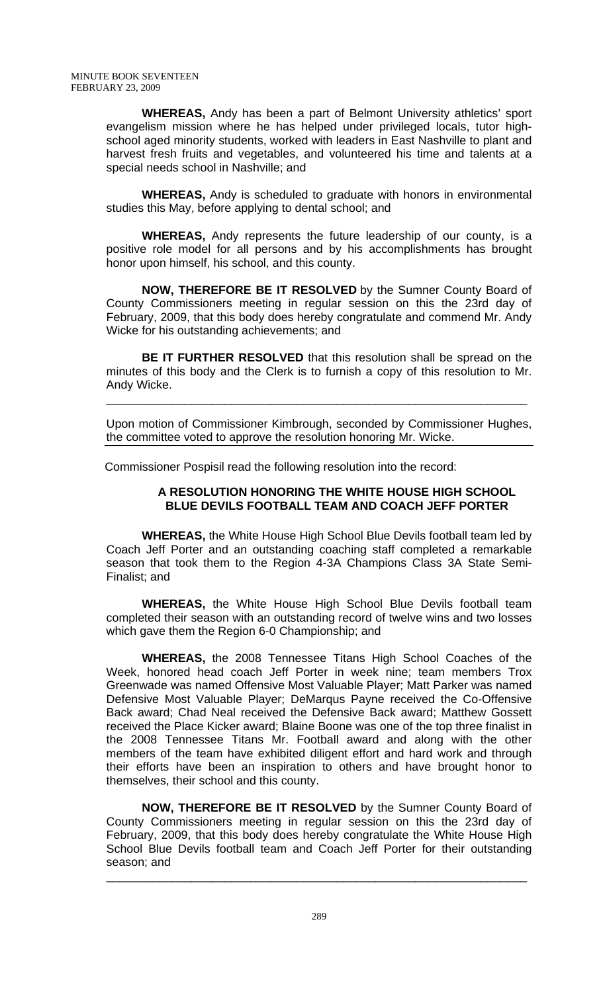**WHEREAS,** Andy has been a part of Belmont University athletics' sport evangelism mission where he has helped under privileged locals, tutor highschool aged minority students, worked with leaders in East Nashville to plant and harvest fresh fruits and vegetables, and volunteered his time and talents at a special needs school in Nashville; and

**WHEREAS,** Andy is scheduled to graduate with honors in environmental studies this May, before applying to dental school; and

**WHEREAS,** Andy represents the future leadership of our county, is a positive role model for all persons and by his accomplishments has brought honor upon himself, his school, and this county.

**NOW, THEREFORE BE IT RESOLVED** by the Sumner County Board of County Commissioners meeting in regular session on this the 23rd day of February, 2009, that this body does hereby congratulate and commend Mr. Andy Wicke for his outstanding achievements; and

**BE IT FURTHER RESOLVED** that this resolution shall be spread on the minutes of this body and the Clerk is to furnish a copy of this resolution to Mr. Andy Wicke.

\_\_\_\_\_\_\_\_\_\_\_\_\_\_\_\_\_\_\_\_\_\_\_\_\_\_\_\_\_\_\_\_\_\_\_\_\_\_\_\_\_\_\_\_\_\_\_\_\_\_\_\_\_\_\_\_\_\_\_\_\_\_\_\_

Upon motion of Commissioner Kimbrough, seconded by Commissioner Hughes, the committee voted to approve the resolution honoring Mr. Wicke.

Commissioner Pospisil read the following resolution into the record:

## **A RESOLUTION HONORING THE WHITE HOUSE HIGH SCHOOL BLUE DEVILS FOOTBALL TEAM AND COACH JEFF PORTER**

 **WHEREAS,** the White House High School Blue Devils football team led by Coach Jeff Porter and an outstanding coaching staff completed a remarkable season that took them to the Region 4-3A Champions Class 3A State Semi-Finalist; and

**WHEREAS,** the White House High School Blue Devils football team completed their season with an outstanding record of twelve wins and two losses which gave them the Region 6-0 Championship; and

**WHEREAS,** the 2008 Tennessee Titans High School Coaches of the Week, honored head coach Jeff Porter in week nine; team members Trox Greenwade was named Offensive Most Valuable Player; Matt Parker was named Defensive Most Valuable Player; DeMarqus Payne received the Co-Offensive Back award; Chad Neal received the Defensive Back award; Matthew Gossett received the Place Kicker award; Blaine Boone was one of the top three finalist in the 2008 Tennessee Titans Mr. Football award and along with the other members of the team have exhibited diligent effort and hard work and through their efforts have been an inspiration to others and have brought honor to themselves, their school and this county.

**NOW, THEREFORE BE IT RESOLVED** by the Sumner County Board of County Commissioners meeting in regular session on this the 23rd day of February, 2009, that this body does hereby congratulate the White House High School Blue Devils football team and Coach Jeff Porter for their outstanding season; and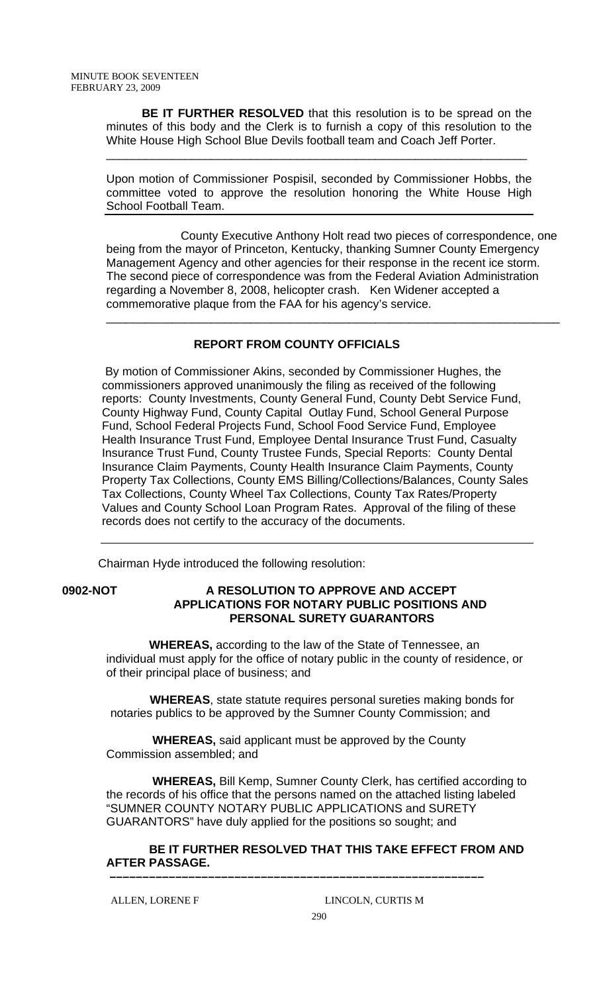**BE IT FURTHER RESOLVED** that this resolution is to be spread on the minutes of this body and the Clerk is to furnish a copy of this resolution to the White House High School Blue Devils football team and Coach Jeff Porter.

\_\_\_\_\_\_\_\_\_\_\_\_\_\_\_\_\_\_\_\_\_\_\_\_\_\_\_\_\_\_\_\_\_\_\_\_\_\_\_\_\_\_\_\_\_\_\_\_\_\_\_\_\_\_\_\_\_\_\_\_\_\_\_\_

Upon motion of Commissioner Pospisil, seconded by Commissioner Hobbs, the committee voted to approve the resolution honoring the White House High School Football Team.

 County Executive Anthony Holt read two pieces of correspondence, one being from the mayor of Princeton, Kentucky, thanking Sumner County Emergency Management Agency and other agencies for their response in the recent ice storm. The second piece of correspondence was from the Federal Aviation Administration regarding a November 8, 2008, helicopter crash. Ken Widener accepted a commemorative plaque from the FAA for his agency's service.

\_\_\_\_\_\_\_\_\_\_\_\_\_\_\_\_\_\_\_\_\_\_\_\_\_\_\_\_\_\_\_\_\_\_\_\_\_\_\_\_\_\_\_\_\_\_\_\_\_\_\_\_\_\_\_\_\_\_\_\_\_\_\_\_\_\_\_\_\_

# **REPORT FROM COUNTY OFFICIALS**

 By motion of Commissioner Akins, seconded by Commissioner Hughes, the commissioners approved unanimously the filing as received of the following reports: County Investments, County General Fund, County Debt Service Fund, County Highway Fund, County Capital Outlay Fund, School General Purpose Fund, School Federal Projects Fund, School Food Service Fund, Employee Health Insurance Trust Fund, Employee Dental Insurance Trust Fund, Casualty Insurance Trust Fund, County Trustee Funds, Special Reports: County Dental Insurance Claim Payments, County Health Insurance Claim Payments, County Property Tax Collections, County EMS Billing/Collections/Balances, County Sales Tax Collections, County Wheel Tax Collections, County Tax Rates/Property Values and County School Loan Program Rates. Approval of the filing of these records does not certify to the accuracy of the documents.

Chairman Hyde introduced the following resolution:

## **0902-NOT A RESOLUTION TO APPROVE AND ACCEPT APPLICATIONS FOR NOTARY PUBLIC POSITIONS AND PERSONAL SURETY GUARANTORS**

 **WHEREAS,** according to the law of the State of Tennessee, an individual must apply for the office of notary public in the county of residence, or of their principal place of business; and

 **WHEREAS**, state statute requires personal sureties making bonds for notaries publics to be approved by the Sumner County Commission; and

 **WHEREAS,** said applicant must be approved by the County Commission assembled; and

 **WHEREAS,** Bill Kemp, Sumner County Clerk, has certified according to the records of his office that the persons named on the attached listing labeled "SUMNER COUNTY NOTARY PUBLIC APPLICATIONS and SURETY GUARANTORS" have duly applied for the positions so sought; and

 **BE IT FURTHER RESOLVED THAT THIS TAKE EFFECT FROM AND AFTER PASSAGE. –––––––––––––––––––––––––––––––––––––––––––––––––––––––––**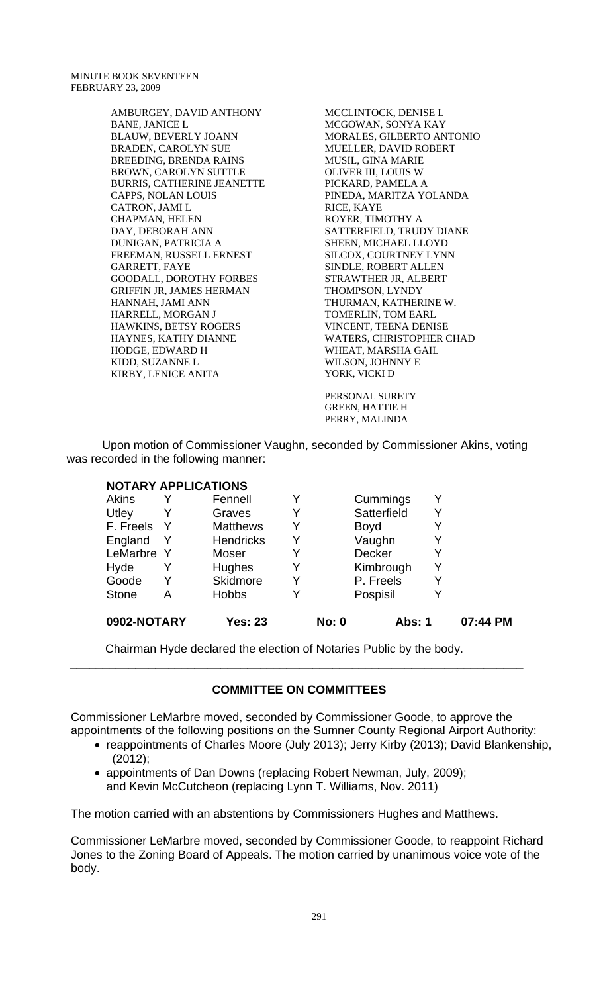MINUTE BOOK SEVENTEEN FEBRUARY 23, 2009

> AMBURGEY, DAVID ANTHONY BANE, JANICE L BLAUW, BEVERLY JOANN BRADEN, CAROLYN SUE BREEDING, BRENDA RAINS BROWN, CAROLYN SUTTLE BURRIS, CATHERINE JEANETTE CAPPS, NOLAN LOUIS CATRON, JAMI L CHAPMAN, HELEN DAY, DEBORAH ANN DUNIGAN, PATRICIA A FREEMAN, RUSSELL ERNEST GARRETT, FAYE GOODALL, DOROTHY FORBES GRIFFIN JR, JAMES HERMAN HANNAH, JAMI ANN HARRELL, MORGAN J HAWKINS, BETSY ROGERS HAYNES, KATHY DIANNE HODGE, EDWARD H KIDD, SUZANNE L KIRBY, LENICE ANITA

MCCLINTOCK, DENISE L MCGOWAN, SONYA KAY MORALES, GILBERTO ANTONIO MUELLER, DAVID ROBERT MUSIL, GINA MARIE OLIVER III, LOUIS W PICKARD, PAMELA A PINEDA, MARITZA YOLANDA RICE, KAYE ROYER, TIMOTHY A SATTERFIELD, TRUDY DIANE SHEEN, MICHAEL LLOYD SILCOX, COURTNEY LYNN SINDLE, ROBERT ALLEN STRAWTHER JR, ALBERT THOMPSON, LYNDY THURMAN, KATHERINE W. TOMERLIN, TOM EARL VINCENT, TEENA DENISE WATERS, CHRISTOPHER CHAD WHEAT, MARSHA GAIL WILSON, JOHNNY E YORK, VICKI D

PERSONAL SURETY GREEN, HATTIE H PERRY, MALINDA

Upon motion of Commissioner Vaughn, seconded by Commissioner Akins, voting was recorded in the following manner:

## **NOTARY APPLICATIONS**

| 0902-NOTARY  |   | <b>Yes: 23</b>   |   | <b>No: 0</b> | <b>Abs: 1</b> |   | 07:44 PM |
|--------------|---|------------------|---|--------------|---------------|---|----------|
| <b>Stone</b> | A | <b>Hobbs</b>     | Y |              | Pospisil      |   |          |
| Goode        | Y | <b>Skidmore</b>  | Y |              | P. Freels     |   |          |
| Hyde         |   | Hughes           | Y |              | Kimbrough     | Y |          |
| LeMarbre Y   |   | Moser            |   |              | <b>Decker</b> |   |          |
| England      | Y | <b>Hendricks</b> | Y |              | Vaughn        |   |          |
| F. Freels    |   | <b>Matthews</b>  | Y |              | <b>Boyd</b>   |   |          |
| Utley        | Y | Graves           | Y |              | Satterfield   |   |          |
| Akins        |   | Fennell          |   |              | Cummings      |   |          |

Chairman Hyde declared the election of Notaries Public by the body.

# **COMMITTEE ON COMMITTEES**

\_\_\_\_\_\_\_\_\_\_\_\_\_\_\_\_\_\_\_\_\_\_\_\_\_\_\_\_\_\_\_\_\_\_\_\_\_\_\_\_\_\_\_\_\_\_\_\_\_\_\_\_\_\_\_\_\_\_\_\_\_\_\_\_\_\_\_\_\_

Commissioner LeMarbre moved, seconded by Commissioner Goode, to approve the appointments of the following positions on the Sumner County Regional Airport Authority:

- reappointments of Charles Moore (July 2013); Jerry Kirby (2013); David Blankenship, (2012);
- appointments of Dan Downs (replacing Robert Newman, July, 2009); and Kevin McCutcheon (replacing Lynn T. Williams, Nov. 2011)

The motion carried with an abstentions by Commissioners Hughes and Matthews.

Commissioner LeMarbre moved, seconded by Commissioner Goode, to reappoint Richard Jones to the Zoning Board of Appeals. The motion carried by unanimous voice vote of the body.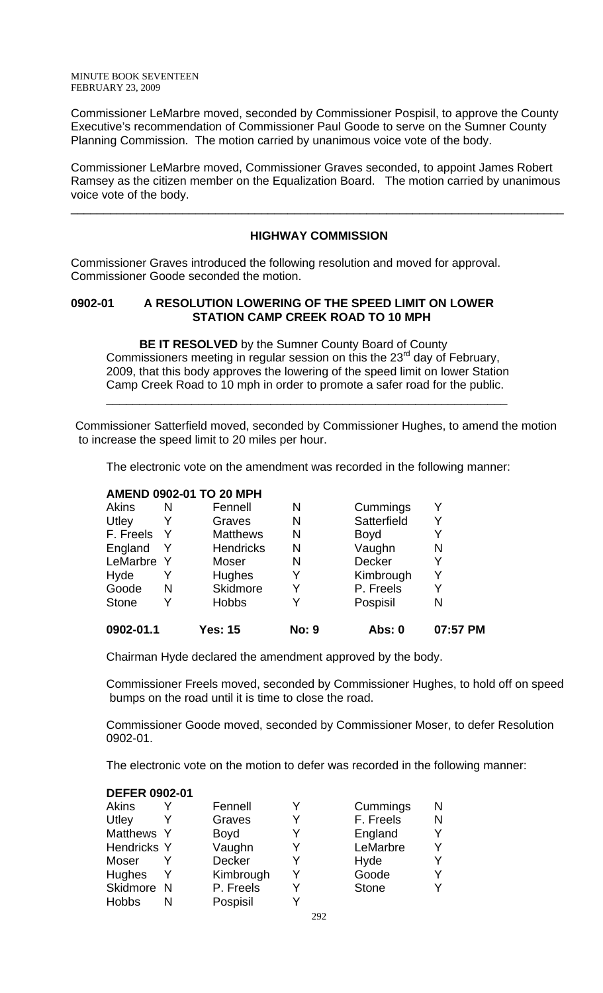Commissioner LeMarbre moved, seconded by Commissioner Pospisil, to approve the County Executive's recommendation of Commissioner Paul Goode to serve on the Sumner County Planning Commission. The motion carried by unanimous voice vote of the body.

Commissioner LeMarbre moved, Commissioner Graves seconded, to appoint James Robert Ramsey as the citizen member on the Equalization Board. The motion carried by unanimous voice vote of the body.

# **HIGHWAY COMMISSION**

\_\_\_\_\_\_\_\_\_\_\_\_\_\_\_\_\_\_\_\_\_\_\_\_\_\_\_\_\_\_\_\_\_\_\_\_\_\_\_\_\_\_\_\_\_\_\_\_\_\_\_\_\_\_\_\_\_\_\_\_\_\_\_\_\_\_\_\_\_\_\_\_\_\_\_

Commissioner Graves introduced the following resolution and moved for approval. Commissioner Goode seconded the motion.

# **0902-01 A RESOLUTION LOWERING OF THE SPEED LIMIT ON LOWER STATION CAMP CREEK ROAD TO 10 MPH**

 $\overline{\phantom{a}}$  , and the contract of the contract of the contract of the contract of the contract of the contract of the contract of the contract of the contract of the contract of the contract of the contract of the contrac

 **BE IT RESOLVED** by the Sumner County Board of County Commissioners meeting in regular session on this the  $23<sup>rd</sup>$  day of February, 2009, that this body approves the lowering of the speed limit on lower Station Camp Creek Road to 10 mph in order to promote a safer road for the public.

Commissioner Satterfield moved, seconded by Commissioner Hughes, to amend the motion to increase the speed limit to 20 miles per hour.

The electronic vote on the amendment was recorded in the following manner:

# **AMEND 0902-01 TO 20 MPH**

| 0902-01.1    |   | Yes: 15          | <b>No: 9</b> | Abs: 0      | 07:57 PM |
|--------------|---|------------------|--------------|-------------|----------|
| <b>Stone</b> | Y | <b>Hobbs</b>     | v            | Pospisil    | Ν        |
| Goode        | N | Skidmore         | Y            | P. Freels   |          |
| Hyde         |   | Hughes           | Y            | Kimbrough   |          |
| LeMarbre Y   |   | Moser            | N            | Decker      |          |
| England      | Y | <b>Hendricks</b> | N            | Vaughn      | Ν        |
| F. Freels    | Y | <b>Matthews</b>  | N            | <b>Boyd</b> |          |
| Utley        |   | Graves           | N            | Satterfield |          |
| <b>Akins</b> | N | Fennell          | N            | Cummings    |          |
|              |   |                  |              |             |          |

Chairman Hyde declared the amendment approved by the body.

Commissioner Freels moved, seconded by Commissioner Hughes, to hold off on speed bumps on the road until it is time to close the road.

Commissioner Goode moved, seconded by Commissioner Moser, to defer Resolution 0902-01.

The electronic vote on the motion to defer was recorded in the following manner:

#### **DEFER 0902-01**

| Akins              | Fennell       |   | Cummings     | N |
|--------------------|---------------|---|--------------|---|
| Utley              | Graves        | v | F. Freels    | N |
| Matthews Y         | <b>Boyd</b>   | Y | England      |   |
| <b>Hendricks Y</b> | Vaughn        | Y | LeMarbre     |   |
| Moser              | <b>Decker</b> |   | Hyde         |   |
| <b>Hughes</b>      | Kimbrough     | V | Goode        |   |
| Skidmore N         | P. Freels     | Y | <b>Stone</b> |   |
| <b>Hobbs</b>       | Pospisil      |   |              |   |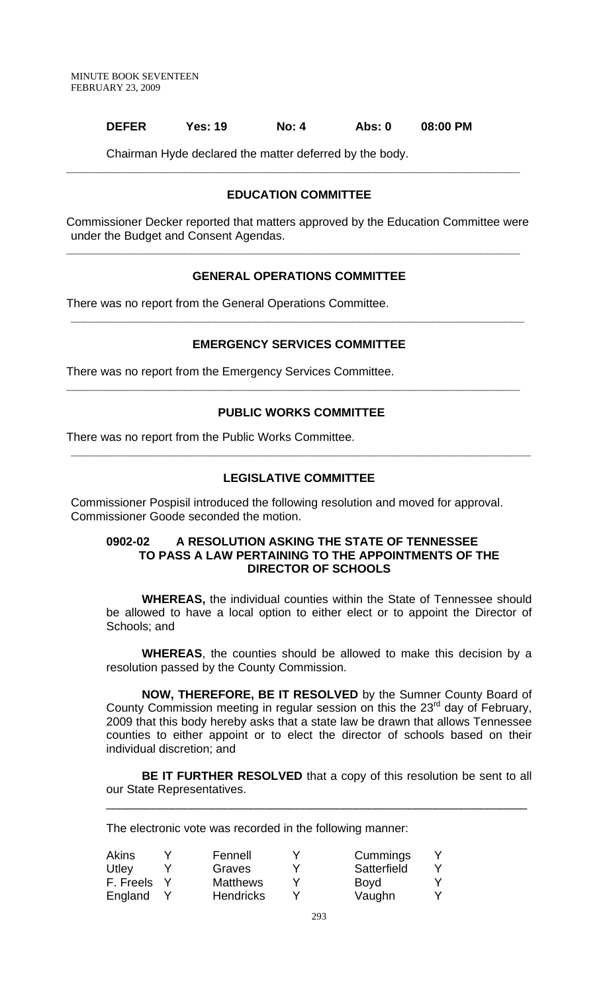#### **DEFER Yes: 19 No: 4 Abs: 0 08:00 PM**

Chairman Hyde declared the matter deferred by the body.

## **EDUCATION COMMITTEE**

**\_\_\_\_\_\_\_\_\_\_\_\_\_\_\_\_\_\_\_\_\_\_\_\_\_\_\_\_\_\_\_\_\_\_\_\_\_\_\_\_\_\_\_\_\_\_\_\_\_\_\_\_\_\_\_\_\_\_\_\_\_\_\_\_\_\_\_\_\_** 

Commissioner Decker reported that matters approved by the Education Committee were under the Budget and Consent Agendas.

**\_\_\_\_\_\_\_\_\_\_\_\_\_\_\_\_\_\_\_\_\_\_\_\_\_\_\_\_\_\_\_\_\_\_\_\_\_\_\_\_\_\_\_\_\_\_\_\_\_\_\_\_\_\_\_\_\_\_\_\_\_\_\_\_\_\_\_\_\_** 

## **GENERAL OPERATIONS COMMITTEE**

There was no report from the General Operations Committee.

## **EMERGENCY SERVICES COMMITTEE**

**\_\_\_\_\_\_\_\_\_\_\_\_\_\_\_\_\_\_\_\_\_\_\_\_\_\_\_\_\_\_\_\_\_\_\_\_\_\_\_\_\_\_\_\_\_\_\_\_\_\_\_\_\_\_\_\_\_\_\_\_\_\_\_\_\_\_\_\_\_** 

There was no report from the Emergency Services Committee.

#### **PUBLIC WORKS COMMITTEE**

**\_\_\_\_\_\_\_\_\_\_\_\_\_\_\_\_\_\_\_\_\_\_\_\_\_\_\_\_\_\_\_\_\_\_\_\_\_\_\_\_\_\_\_\_\_\_\_\_\_\_\_\_\_\_\_\_\_\_\_\_\_\_\_\_\_\_\_\_\_\_** 

**\_\_\_\_\_\_\_\_\_\_\_\_\_\_\_\_\_\_\_\_\_\_\_\_\_\_\_\_\_\_\_\_\_\_\_\_\_\_\_\_\_\_\_\_\_\_\_\_\_\_\_\_\_\_\_\_\_\_\_\_\_\_\_\_\_\_\_\_\_** 

There was no report from the Public Works Committee.

## **LEGISLATIVE COMMITTEE**

Commissioner Pospisil introduced the following resolution and moved for approval. Commissioner Goode seconded the motion.

#### **0902-02 A RESOLUTION ASKING THE STATE OF TENNESSEE TO PASS A LAW PERTAINING TO THE APPOINTMENTS OF THE DIRECTOR OF SCHOOLS**

 **WHEREAS,** the individual counties within the State of Tennessee should be allowed to have a local option to either elect or to appoint the Director of Schools; and

**WHEREAS**, the counties should be allowed to make this decision by a resolution passed by the County Commission.

**NOW, THEREFORE, BE IT RESOLVED** by the Sumner County Board of County Commission meeting in regular session on this the  $23<sup>rd</sup>$  day of February, 2009 that this body hereby asks that a state law be drawn that allows Tennessee counties to either appoint or to elect the director of schools based on their individual discretion; and

**BE IT FURTHER RESOLVED** that a copy of this resolution be sent to all our State Representatives.

\_\_\_\_\_\_\_\_\_\_\_\_\_\_\_\_\_\_\_\_\_\_\_\_\_\_\_\_\_\_\_\_\_\_\_\_\_\_\_\_\_\_\_\_\_\_\_\_\_\_\_\_\_\_\_\_\_\_\_\_\_\_\_\_

The electronic vote was recorded in the following manner:

| Akins     | Fennell          | Cummings    |  |
|-----------|------------------|-------------|--|
| Utley     | Graves           | Satterfield |  |
| F. Freels | <b>Matthews</b>  | <b>Boyd</b> |  |
| England   | <b>Hendricks</b> | Vaughn      |  |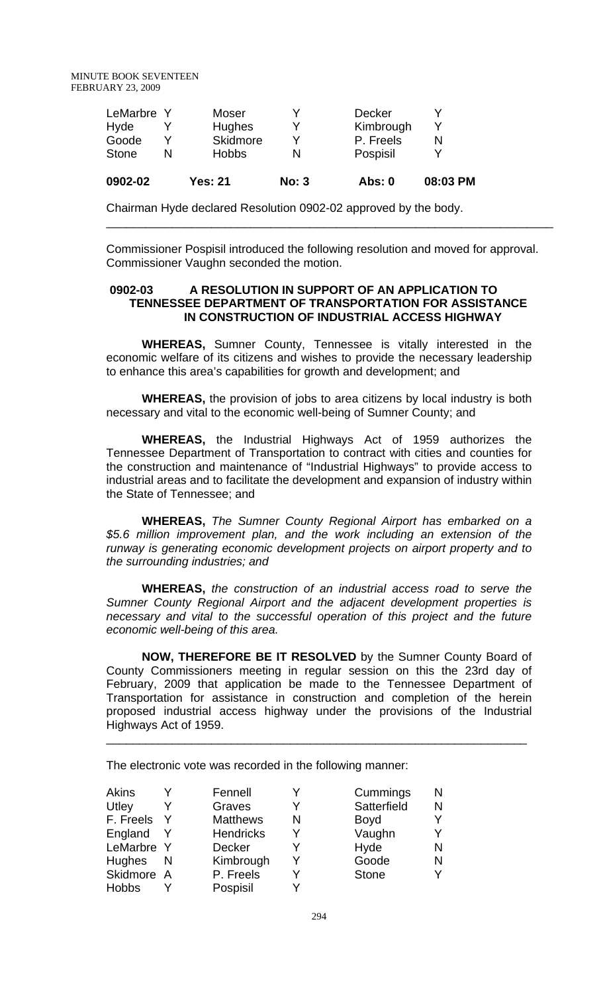| 0902-02      | <b>Yes: 21</b> | No: 3 | <b>Abs: 0</b> | 08:03 PM |
|--------------|----------------|-------|---------------|----------|
| <b>Stone</b> | <b>Hobbs</b>   | N     | Pospisil      |          |
| Goode        | Skidmore       |       | P. Freels     |          |
| Hyde         | Hughes         |       | Kimbrough     |          |
| LeMarbre Y   | Moser          |       | <b>Decker</b> |          |

Chairman Hyde declared Resolution 0902-02 approved by the body.

Commissioner Pospisil introduced the following resolution and moved for approval. Commissioner Vaughn seconded the motion.

\_\_\_\_\_\_\_\_\_\_\_\_\_\_\_\_\_\_\_\_\_\_\_\_\_\_\_\_\_\_\_\_\_\_\_\_\_\_\_\_\_\_\_\_\_\_\_\_\_\_\_\_\_\_\_\_\_\_\_\_\_\_\_\_\_\_\_\_

# **0902-03 A RESOLUTION IN SUPPORT OF AN APPLICATION TO TENNESSEE DEPARTMENT OF TRANSPORTATION FOR ASSISTANCE IN CONSTRUCTION OF INDUSTRIAL ACCESS HIGHWAY**

**WHEREAS,** Sumner County, Tennessee is vitally interested in the economic welfare of its citizens and wishes to provide the necessary leadership to enhance this area's capabilities for growth and development; and

**WHEREAS,** the provision of jobs to area citizens by local industry is both necessary and vital to the economic well-being of Sumner County; and

**WHEREAS,** the Industrial Highways Act of 1959 authorizes the Tennessee Department of Transportation to contract with cities and counties for the construction and maintenance of "Industrial Highways" to provide access to industrial areas and to facilitate the development and expansion of industry within the State of Tennessee; and

**WHEREAS,** *The Sumner County Regional Airport has embarked on a \$5.6 million improvement plan, and the work including an extension of the runway is generating economic development projects on airport property and to the surrounding industries; and*

**WHEREAS,** *the construction of an industrial access road to serve the Sumner County Regional Airport and the adjacent development properties is necessary and vital to the successful operation of this project and the future economic well-being of this area.*

**NOW, THEREFORE BE IT RESOLVED** by the Sumner County Board of County Commissioners meeting in regular session on this the 23rd day of February, 2009 that application be made to the Tennessee Department of Transportation for assistance in construction and completion of the herein proposed industrial access highway under the provisions of the Industrial Highways Act of 1959.

\_\_\_\_\_\_\_\_\_\_\_\_\_\_\_\_\_\_\_\_\_\_\_\_\_\_\_\_\_\_\_\_\_\_\_\_\_\_\_\_\_\_\_\_\_\_\_\_\_\_\_\_\_\_\_\_\_\_\_\_\_\_\_\_

The electronic vote was recorded in the following manner:

| Akins         |   | Fennell          | V | Cummings     | N |
|---------------|---|------------------|---|--------------|---|
| Utley         |   | Graves           |   | Satterfield  | N |
| F. Freels     | Y | <b>Matthews</b>  | N | <b>Boyd</b>  |   |
| England       |   | <b>Hendricks</b> | Y | Vaughn       |   |
| LeMarbre Y    |   | <b>Decker</b>    |   | Hyde         | N |
| <b>Hughes</b> | N | Kimbrough        | Y | Goode        |   |
| Skidmore A    |   | P. Freels        | v | <b>Stone</b> |   |
| <b>Hobbs</b>  |   | Pospisil         |   |              |   |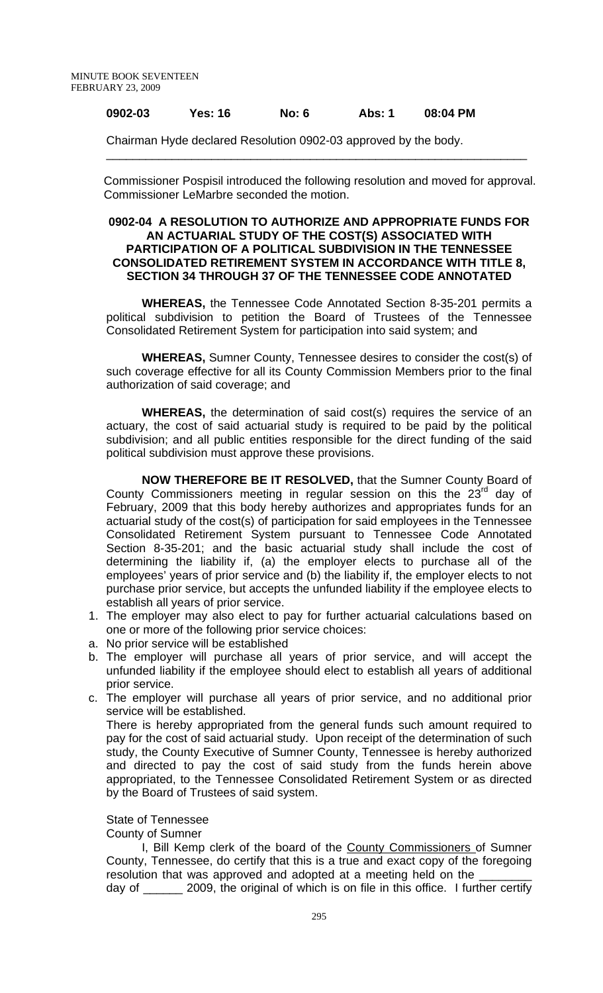# **0902-03 Yes: 16 No: 6 Abs: 1 08:04 PM**

Chairman Hyde declared Resolution 0902-03 approved by the body.

 Commissioner Pospisil introduced the following resolution and moved for approval. Commissioner LeMarbre seconded the motion.

\_\_\_\_\_\_\_\_\_\_\_\_\_\_\_\_\_\_\_\_\_\_\_\_\_\_\_\_\_\_\_\_\_\_\_\_\_\_\_\_\_\_\_\_\_\_\_\_\_\_\_\_\_\_\_\_\_\_\_\_\_\_\_\_

#### **0902-04 A RESOLUTION TO AUTHORIZE AND APPROPRIATE FUNDS FOR AN ACTUARIAL STUDY OF THE COST(S) ASSOCIATED WITH PARTICIPATION OF A POLITICAL SUBDIVISION IN THE TENNESSEE CONSOLIDATED RETIREMENT SYSTEM IN ACCORDANCE WITH TITLE 8, SECTION 34 THROUGH 37 OF THE TENNESSEE CODE ANNOTATED**

**WHEREAS,** the Tennessee Code Annotated Section 8-35-201 permits a political subdivision to petition the Board of Trustees of the Tennessee Consolidated Retirement System for participation into said system; and

**WHEREAS,** Sumner County, Tennessee desires to consider the cost(s) of such coverage effective for all its County Commission Members prior to the final authorization of said coverage; and

**WHEREAS,** the determination of said cost(s) requires the service of an actuary, the cost of said actuarial study is required to be paid by the political subdivision; and all public entities responsible for the direct funding of the said political subdivision must approve these provisions.

 **NOW THEREFORE BE IT RESOLVED,** that the Sumner County Board of County Commissioners meeting in regular session on this the  $23<sup>rd</sup>$  day of February, 2009 that this body hereby authorizes and appropriates funds for an actuarial study of the cost(s) of participation for said employees in the Tennessee Consolidated Retirement System pursuant to Tennessee Code Annotated Section 8-35-201; and the basic actuarial study shall include the cost of determining the liability if, (a) the employer elects to purchase all of the employees' years of prior service and (b) the liability if, the employer elects to not purchase prior service, but accepts the unfunded liability if the employee elects to establish all years of prior service.

- 1. The employer may also elect to pay for further actuarial calculations based on one or more of the following prior service choices:
- a. No prior service will be established
- b. The employer will purchase all years of prior service, and will accept the unfunded liability if the employee should elect to establish all years of additional prior service.
- c. The employer will purchase all years of prior service, and no additional prior service will be established.

There is hereby appropriated from the general funds such amount required to pay for the cost of said actuarial study. Upon receipt of the determination of such study, the County Executive of Sumner County, Tennessee is hereby authorized and directed to pay the cost of said study from the funds herein above appropriated, to the Tennessee Consolidated Retirement System or as directed by the Board of Trustees of said system.

## State of Tennessee

County of Sumner

 I, Bill Kemp clerk of the board of the County Commissioners of Sumner County, Tennessee, do certify that this is a true and exact copy of the foregoing resolution that was approved and adopted at a meeting held on the day of \_\_\_\_\_\_ 2009, the original of which is on file in this office. I further certify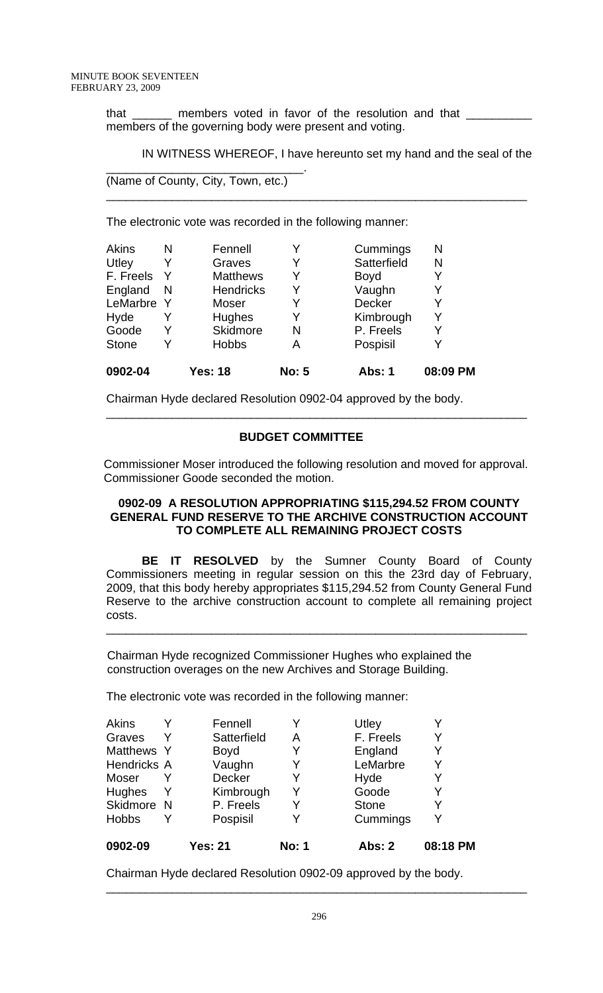that \_\_\_\_\_\_ members voted in favor of the resolution and that \_\_\_\_\_\_\_\_ members of the governing body were present and voting.

\_\_\_\_\_\_\_\_\_\_\_\_\_\_\_\_\_\_\_\_\_\_\_\_\_\_\_\_\_\_\_\_\_\_\_\_\_\_\_\_\_\_\_\_\_\_\_\_\_\_\_\_\_\_\_\_\_\_\_\_\_\_\_\_

IN WITNESS WHEREOF, I have hereunto set my hand and the seal of the

```
(Name of County, City, Town, etc.)
```
\_\_\_\_\_\_\_\_\_\_\_\_\_\_\_\_\_\_\_\_\_\_\_\_\_\_\_\_\_\_.

The electronic vote was recorded in the following manner:

| <b>Akins</b><br>Utley | N<br>Y       | Fennell<br>Graves | Y<br>Y       | Cummings<br>Satterfield | N<br>N   |
|-----------------------|--------------|-------------------|--------------|-------------------------|----------|
| F. Freels             | Y            | <b>Matthews</b>   | Y            | <b>Boyd</b>             |          |
| England               | <sub>N</sub> | <b>Hendricks</b>  | Y            | Vaughn                  |          |
| LeMarbre              | -Y           | Moser             | Y            | <b>Decker</b>           |          |
| Hyde                  | Y            | <b>Hughes</b>     | Y            | Kimbrough               | Y        |
| Goode                 | Y            | Skidmore          | N            | P. Freels               |          |
| <b>Stone</b>          | Υ            | <b>Hobbs</b>      | Α            | Pospisil                |          |
| 0902-04               |              | <b>Yes: 18</b>    | <b>No: 5</b> | <b>Abs: 1</b>           | 08:09 PM |

Chairman Hyde declared Resolution 0902-04 approved by the body.

## **BUDGET COMMITTEE**

 Commissioner Moser introduced the following resolution and moved for approval. Commissioner Goode seconded the motion.

\_\_\_\_\_\_\_\_\_\_\_\_\_\_\_\_\_\_\_\_\_\_\_\_\_\_\_\_\_\_\_\_\_\_\_\_\_\_\_\_\_\_\_\_\_\_\_\_\_\_\_\_\_\_\_\_\_\_\_\_\_\_\_\_

## **0902-09 A RESOLUTION APPROPRIATING \$115,294.52 FROM COUNTY GENERAL FUND RESERVE TO THE ARCHIVE CONSTRUCTION ACCOUNT TO COMPLETE ALL REMAINING PROJECT COSTS**

**BE IT RESOLVED** by the Sumner County Board of County Commissioners meeting in regular session on this the 23rd day of February, 2009, that this body hereby appropriates \$115,294.52 from County General Fund Reserve to the archive construction account to complete all remaining project costs.

\_\_\_\_\_\_\_\_\_\_\_\_\_\_\_\_\_\_\_\_\_\_\_\_\_\_\_\_\_\_\_\_\_\_\_\_\_\_\_\_\_\_\_\_\_\_\_\_\_\_\_\_\_\_\_\_\_\_\_\_\_\_\_\_

Chairman Hyde recognized Commissioner Hughes who explained the construction overages on the new Archives and Storage Building.

The electronic vote was recorded in the following manner:

| <b>Akins</b> |   | Fennell        |              | Utley         |          |
|--------------|---|----------------|--------------|---------------|----------|
| Graves       | Y | Satterfield    | A            | F. Freels     | Y        |
| Matthews Y   |   | <b>Boyd</b>    | Y            | England       | Y        |
| Hendricks A  |   | Vaughn         | Y            | LeMarbre      |          |
| Moser        | Y | <b>Decker</b>  | Y            | Hyde          |          |
| Hughes       | Y | Kimbrough      | Y            | Goode         | Y        |
| Skidmore N   |   | P. Freels      | Y            | <b>Stone</b>  |          |
| <b>Hobbs</b> | Y | Pospisil       | Y            | Cummings      | Υ        |
| 0902-09      |   | <b>Yes: 21</b> | <b>No: 1</b> | <b>Abs: 2</b> | 08:18 PM |

Chairman Hyde declared Resolution 0902-09 approved by the body.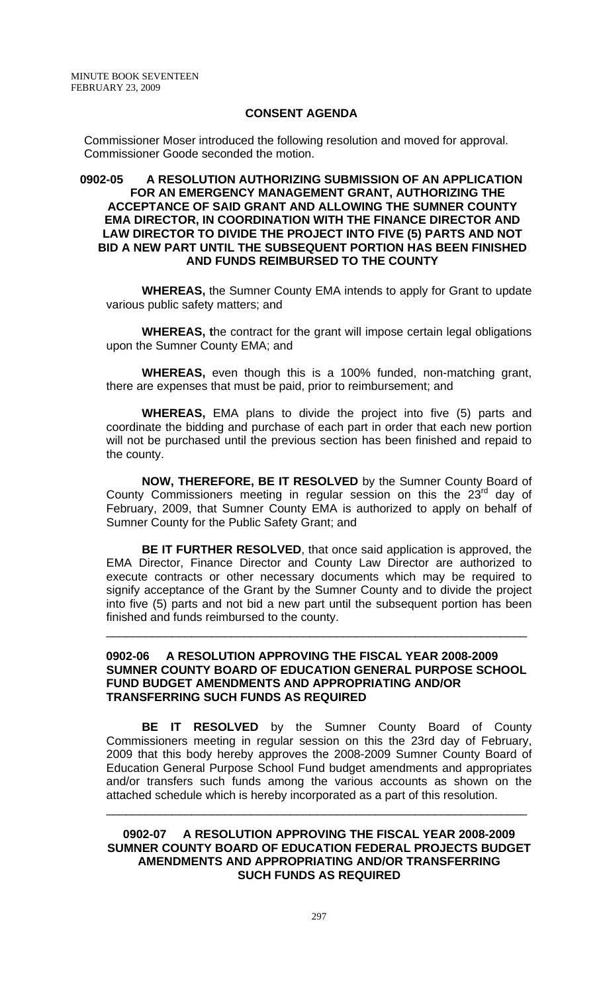## **CONSENT AGENDA**

 Commissioner Moser introduced the following resolution and moved for approval. Commissioner Goode seconded the motion.

#### **0902-05 A RESOLUTION AUTHORIZING SUBMISSION OF AN APPLICATION FOR AN EMERGENCY MANAGEMENT GRANT, AUTHORIZING THE ACCEPTANCE OF SAID GRANT AND ALLOWING THE SUMNER COUNTY EMA DIRECTOR, IN COORDINATION WITH THE FINANCE DIRECTOR AND LAW DIRECTOR TO DIVIDE THE PROJECT INTO FIVE (5) PARTS AND NOT BID A NEW PART UNTIL THE SUBSEQUENT PORTION HAS BEEN FINISHED AND FUNDS REIMBURSED TO THE COUNTY**

 **WHEREAS,** the Sumner County EMA intends to apply for Grant to update various public safety matters; and

 **WHEREAS, t**he contract for the grant will impose certain legal obligations upon the Sumner County EMA; and

**WHEREAS,** even though this is a 100% funded, non-matching grant, there are expenses that must be paid, prior to reimbursement; and

**WHEREAS,** EMA plans to divide the project into five (5) parts and coordinate the bidding and purchase of each part in order that each new portion will not be purchased until the previous section has been finished and repaid to the county.

**NOW, THEREFORE, BE IT RESOLVED** by the Sumner County Board of County Commissioners meeting in regular session on this the  $23<sup>rd</sup>$  day of February, 2009, that Sumner County EMA is authorized to apply on behalf of Sumner County for the Public Safety Grant; and

**BE IT FURTHER RESOLVED**, that once said application is approved, the EMA Director, Finance Director and County Law Director are authorized to execute contracts or other necessary documents which may be required to signify acceptance of the Grant by the Sumner County and to divide the project into five (5) parts and not bid a new part until the subsequent portion has been finished and funds reimbursed to the county.

#### **0902-06 A RESOLUTION APPROVING THE FISCAL YEAR 2008-2009 SUMNER COUNTY BOARD OF EDUCATION GENERAL PURPOSE SCHOOL FUND BUDGET AMENDMENTS AND APPROPRIATING AND/OR TRANSFERRING SUCH FUNDS AS REQUIRED**

\_\_\_\_\_\_\_\_\_\_\_\_\_\_\_\_\_\_\_\_\_\_\_\_\_\_\_\_\_\_\_\_\_\_\_\_\_\_\_\_\_\_\_\_\_\_\_\_\_\_\_\_\_\_\_\_\_\_\_\_\_\_\_\_

**BE IT RESOLVED** by the Sumner County Board of County Commissioners meeting in regular session on this the 23rd day of February, 2009 that this body hereby approves the 2008-2009 Sumner County Board of Education General Purpose School Fund budget amendments and appropriates and/or transfers such funds among the various accounts as shown on the attached schedule which is hereby incorporated as a part of this resolution.

#### **0902-07 A RESOLUTION APPROVING THE FISCAL YEAR 2008-2009 SUMNER COUNTY BOARD OF EDUCATION FEDERAL PROJECTS BUDGET AMENDMENTS AND APPROPRIATING AND/OR TRANSFERRING SUCH FUNDS AS REQUIRED**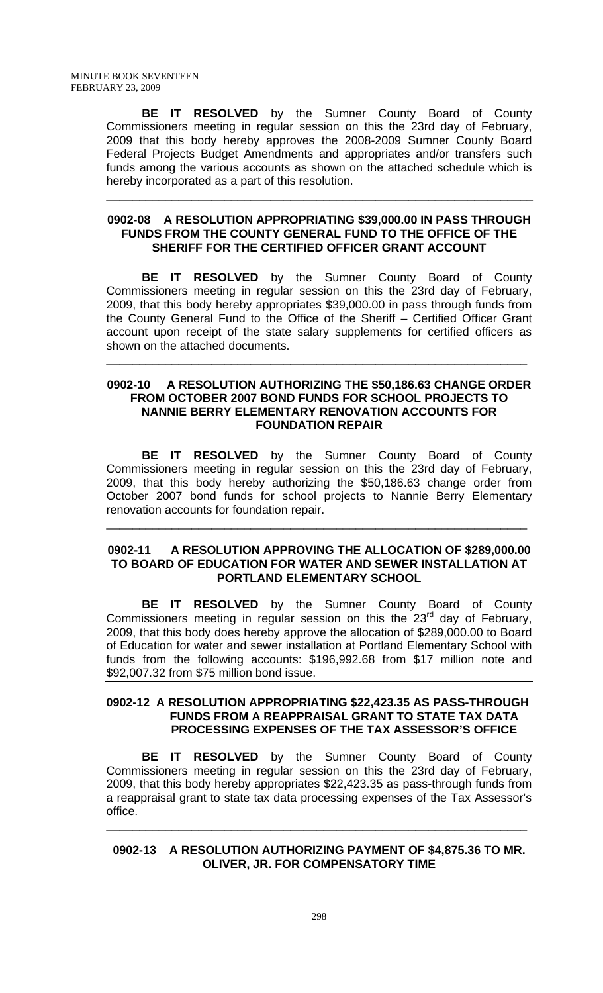**BE IT RESOLVED** by the Sumner County Board of County Commissioners meeting in regular session on this the 23rd day of February, 2009 that this body hereby approves the 2008-2009 Sumner County Board Federal Projects Budget Amendments and appropriates and/or transfers such funds among the various accounts as shown on the attached schedule which is hereby incorporated as a part of this resolution.

#### **0902-08 A RESOLUTION APPROPRIATING \$39,000.00 IN PASS THROUGH FUNDS FROM THE COUNTY GENERAL FUND TO THE OFFICE OF THE SHERIFF FOR THE CERTIFIED OFFICER GRANT ACCOUNT**

\_\_\_\_\_\_\_\_\_\_\_\_\_\_\_\_\_\_\_\_\_\_\_\_\_\_\_\_\_\_\_\_\_\_\_\_\_\_\_\_\_\_\_\_\_\_\_\_\_\_\_\_\_\_\_\_\_\_\_\_\_\_\_\_\_

**BE IT RESOLVED** by the Sumner County Board of County Commissioners meeting in regular session on this the 23rd day of February, 2009, that this body hereby appropriates \$39,000.00 in pass through funds from the County General Fund to the Office of the Sheriff – Certified Officer Grant account upon receipt of the state salary supplements for certified officers as shown on the attached documents.

#### **0902-10 A RESOLUTION AUTHORIZING THE \$50,186.63 CHANGE ORDER FROM OCTOBER 2007 BOND FUNDS FOR SCHOOL PROJECTS TO NANNIE BERRY ELEMENTARY RENOVATION ACCOUNTS FOR FOUNDATION REPAIR**

\_\_\_\_\_\_\_\_\_\_\_\_\_\_\_\_\_\_\_\_\_\_\_\_\_\_\_\_\_\_\_\_\_\_\_\_\_\_\_\_\_\_\_\_\_\_\_\_\_\_\_\_\_\_\_\_\_\_\_\_\_\_\_\_

**BE IT RESOLVED** by the Sumner County Board of County Commissioners meeting in regular session on this the 23rd day of February, 2009, that this body hereby authorizing the \$50,186.63 change order from October 2007 bond funds for school projects to Nannie Berry Elementary renovation accounts for foundation repair.

## **0902-11 A RESOLUTION APPROVING THE ALLOCATION OF \$289,000.00 TO BOARD OF EDUCATION FOR WATER AND SEWER INSTALLATION AT PORTLAND ELEMENTARY SCHOOL**

\_\_\_\_\_\_\_\_\_\_\_\_\_\_\_\_\_\_\_\_\_\_\_\_\_\_\_\_\_\_\_\_\_\_\_\_\_\_\_\_\_\_\_\_\_\_\_\_\_\_\_\_\_\_\_\_\_\_\_\_\_\_\_\_

 **BE IT RESOLVED** by the Sumner County Board of County Commissioners meeting in regular session on this the  $23<sup>rd</sup>$  day of February, 2009, that this body does hereby approve the allocation of \$289,000.00 to Board of Education for water and sewer installation at Portland Elementary School with funds from the following accounts: \$196,992.68 from \$17 million note and \$92,007.32 from \$75 million bond issue.

## **0902-12 A RESOLUTION APPROPRIATING \$22,423.35 AS PASS-THROUGH FUNDS FROM A REAPPRAISAL GRANT TO STATE TAX DATA PROCESSING EXPENSES OF THE TAX ASSESSOR'S OFFICE**

**BE IT RESOLVED** by the Sumner County Board of County Commissioners meeting in regular session on this the 23rd day of February, 2009, that this body hereby appropriates \$22,423.35 as pass-through funds from a reappraisal grant to state tax data processing expenses of the Tax Assessor's office.

**0902-13 A RESOLUTION AUTHORIZING PAYMENT OF \$4,875.36 TO MR. OLIVER, JR. FOR COMPENSATORY TIME**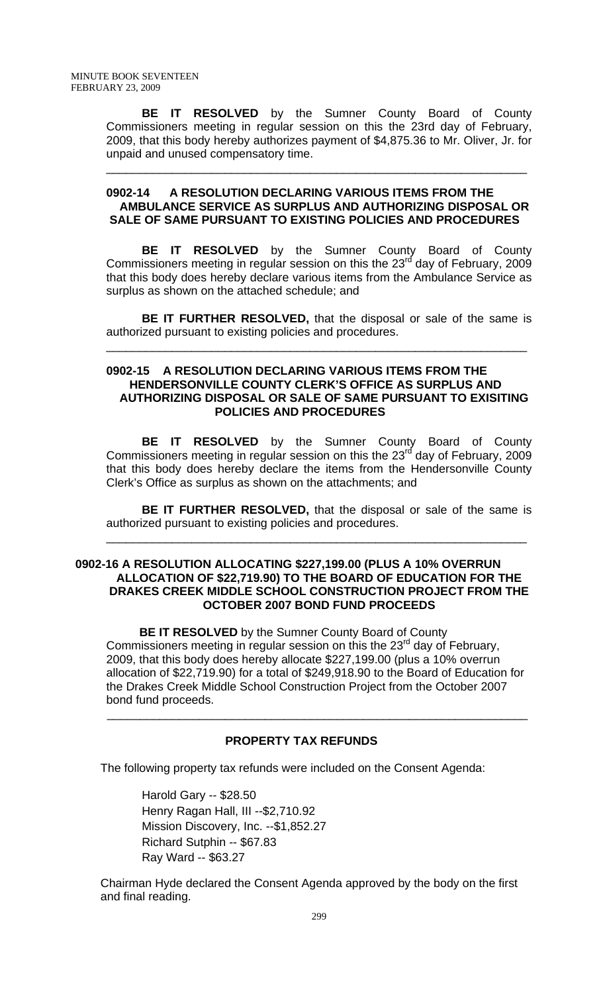**BE IT RESOLVED** by the Sumner County Board of County Commissioners meeting in regular session on this the 23rd day of February, 2009, that this body hereby authorizes payment of \$4,875.36 to Mr. Oliver, Jr. for unpaid and unused compensatory time.

## **0902-14 A RESOLUTION DECLARING VARIOUS ITEMS FROM THE AMBULANCE SERVICE AS SURPLUS AND AUTHORIZING DISPOSAL OR SALE OF SAME PURSUANT TO EXISTING POLICIES AND PROCEDURES**

\_\_\_\_\_\_\_\_\_\_\_\_\_\_\_\_\_\_\_\_\_\_\_\_\_\_\_\_\_\_\_\_\_\_\_\_\_\_\_\_\_\_\_\_\_\_\_\_\_\_\_\_\_\_\_\_\_\_\_\_\_\_\_\_

**BE IT RESOLVED** by the Sumner County Board of County Commissioners meeting in regular session on this the 23 $^{rd}$  day of February, 2009 that this body does hereby declare various items from the Ambulance Service as surplus as shown on the attached schedule; and

**BE IT FURTHER RESOLVED,** that the disposal or sale of the same is authorized pursuant to existing policies and procedures.

\_\_\_\_\_\_\_\_\_\_\_\_\_\_\_\_\_\_\_\_\_\_\_\_\_\_\_\_\_\_\_\_\_\_\_\_\_\_\_\_\_\_\_\_\_\_\_\_\_\_\_\_\_\_\_\_\_\_\_\_\_\_\_\_

# **0902-15 A RESOLUTION DECLARING VARIOUS ITEMS FROM THE HENDERSONVILLE COUNTY CLERK'S OFFICE AS SURPLUS AND AUTHORIZING DISPOSAL OR SALE OF SAME PURSUANT TO EXISITING POLICIES AND PROCEDURES**

 **BE IT RESOLVED** by the Sumner County Board of County Commissioners meeting in regular session on this the  $23<sup>rd</sup>$  day of February, 2009 that this body does hereby declare the items from the Hendersonville County Clerk's Office as surplus as shown on the attachments; and

**BE IT FURTHER RESOLVED,** that the disposal or sale of the same is authorized pursuant to existing policies and procedures.

\_\_\_\_\_\_\_\_\_\_\_\_\_\_\_\_\_\_\_\_\_\_\_\_\_\_\_\_\_\_\_\_\_\_\_\_\_\_\_\_\_\_\_\_\_\_\_\_\_\_\_\_\_\_\_\_\_\_\_\_\_\_\_\_

#### **0902-16 A RESOLUTION ALLOCATING \$227,199.00 (PLUS A 10% OVERRUN ALLOCATION OF \$22,719.90) TO THE BOARD OF EDUCATION FOR THE DRAKES CREEK MIDDLE SCHOOL CONSTRUCTION PROJECT FROM THE OCTOBER 2007 BOND FUND PROCEEDS**

 **BE IT RESOLVED** by the Sumner County Board of County Commissioners meeting in regular session on this the 23<sup>rd</sup> day of February, 2009, that this body does hereby allocate \$227,199.00 (plus a 10% overrun allocation of \$22,719.90) for a total of \$249,918.90 to the Board of Education for the Drakes Creek Middle School Construction Project from the October 2007 bond fund proceeds.

# **PROPERTY TAX REFUNDS**

 $\frac{1}{2}$  ,  $\frac{1}{2}$  ,  $\frac{1}{2}$  ,  $\frac{1}{2}$  ,  $\frac{1}{2}$  ,  $\frac{1}{2}$  ,  $\frac{1}{2}$  ,  $\frac{1}{2}$  ,  $\frac{1}{2}$  ,  $\frac{1}{2}$  ,  $\frac{1}{2}$  ,  $\frac{1}{2}$  ,  $\frac{1}{2}$  ,  $\frac{1}{2}$  ,  $\frac{1}{2}$  ,  $\frac{1}{2}$  ,  $\frac{1}{2}$  ,  $\frac{1}{2}$  ,  $\frac{1$ 

The following property tax refunds were included on the Consent Agenda:

Harold Gary -- \$28.50 Henry Ragan Hall, III --\$2,710.92 Mission Discovery, Inc. --\$1,852.27 Richard Sutphin -- \$67.83 Ray Ward -- \$63.27

 Chairman Hyde declared the Consent Agenda approved by the body on the first and final reading.